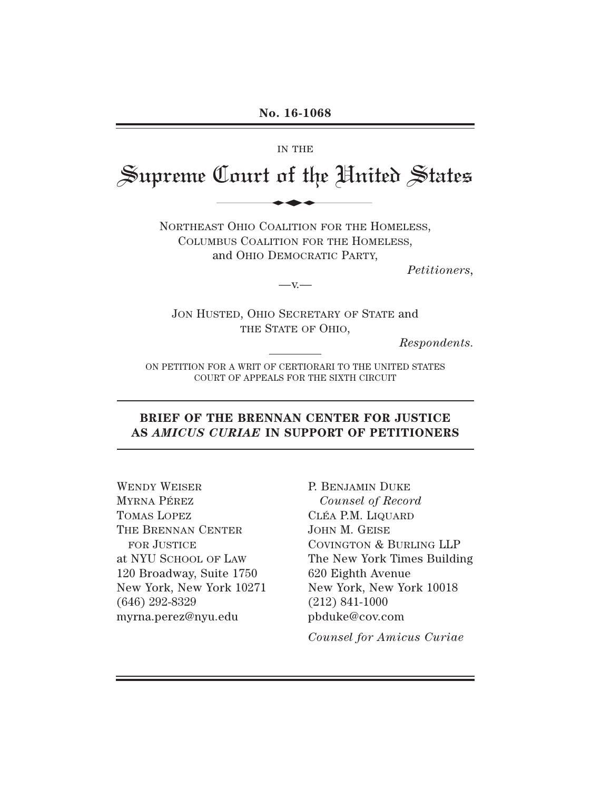# IN THE

# Supreme Court of the United States No. 16-1068

NORTHEAST OHIO COALITION FOR THE HOMELESS, COLUMBUS COALITION FOR THE HOMELESS, and OHIO DEMOCRATIC PARTY,

*Petitioners,*

JON HUSTED, OHIO SECRETARY OF STATE and THE STATE OF OHIO,

 $-v -$ 

*Respondents.*

ON PETITION FOR A WRIT OF CERTIORARI TO THE UNITED STATES COURT OF APPEALS FOR THE SIXTH CIRCUIT

## **BRIEF OF THE BRENNAN CENTER FOR JUSTICE AS** *AMICUS CURIAE* **IN SUPPORT OF PETITIONERS**

WENDY WEISER MYRNA PÉREZ TOMAS LOPEZ THE BRENNAN CENTER FOR JUSTICE at NYU SCHOOL OF LAW 120 Broadway, Suite 1750 New York, New York 10271 (646) 292-8329 myrna.perez@nyu.edu

P. BENJAMIN DUKE *Counsel of Record* CLÉA P.M. LIQUARD JOHN M. GEISE COVINGTON & BURLING LLP The New York Times Building 620 Eighth Avenue New York, New York 10018 (212) 841-1000 pbduke@cov.com

*Counsel for Amicus Curiae*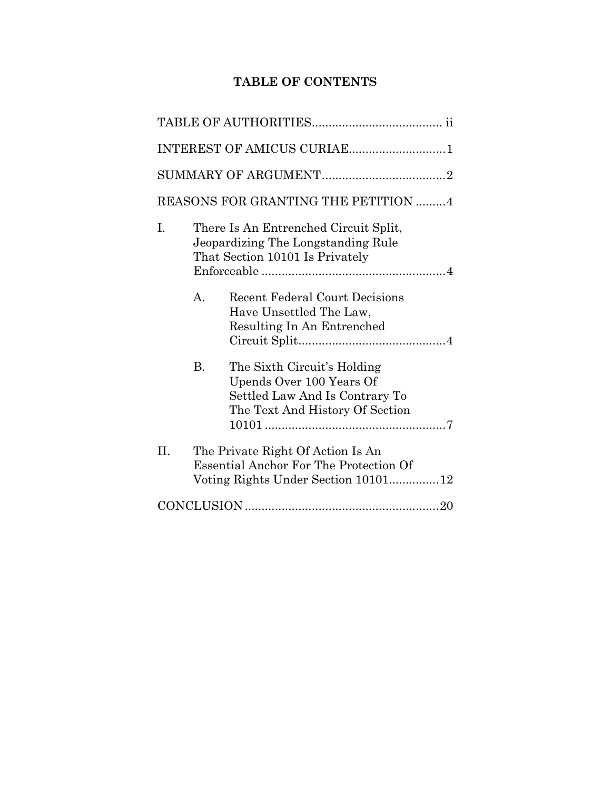# **TABLE OF CONTENTS**

| INTEREST OF AMICUS CURIAE1           |                                                                                                                |                                                                                                                              |  |  |
|--------------------------------------|----------------------------------------------------------------------------------------------------------------|------------------------------------------------------------------------------------------------------------------------------|--|--|
|                                      |                                                                                                                |                                                                                                                              |  |  |
| REASONS FOR GRANTING THE PETITION  4 |                                                                                                                |                                                                                                                              |  |  |
| I.                                   | There Is An Entrenched Circuit Split,<br>Jeopardizing The Longstanding Rule<br>That Section 10101 Is Privately |                                                                                                                              |  |  |
|                                      | $\mathbf{A}$ .                                                                                                 | <b>Recent Federal Court Decisions</b><br>Have Unsettled The Law,<br>Resulting In An Entrenched                               |  |  |
|                                      | $\rm B$ .                                                                                                      | The Sixth Circuit's Holding<br>Upends Over 100 Years Of<br>Settled Law And Is Contrary To<br>The Text And History Of Section |  |  |
| II.                                  |                                                                                                                | The Private Right Of Action Is An<br><b>Essential Anchor For The Protection Of</b><br>Voting Rights Under Section 10101 12   |  |  |
|                                      |                                                                                                                |                                                                                                                              |  |  |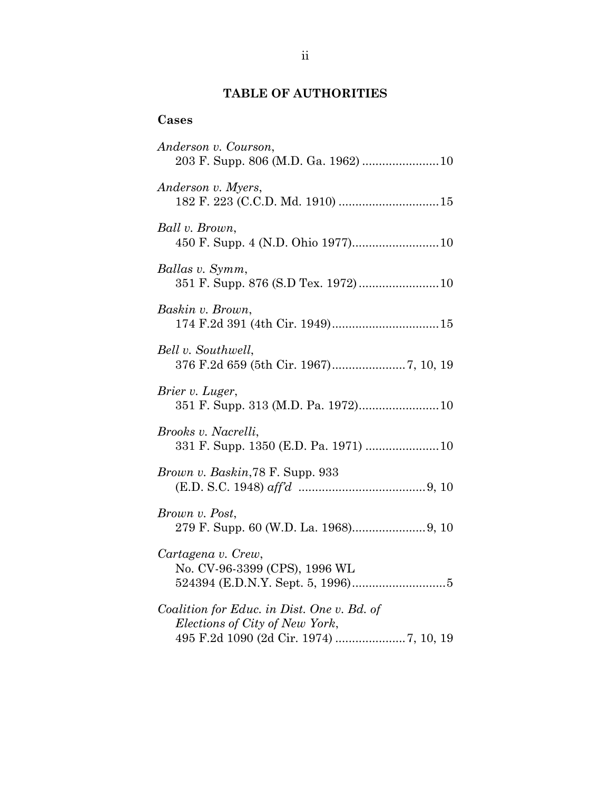# **TABLE OF AUTHORITIES**

# <span id="page-2-0"></span>**Cases**

| Anderson v. Courson,                                                         |
|------------------------------------------------------------------------------|
| Anderson v. Myers,                                                           |
| Ball v. Brown,                                                               |
| Ballas v. Symm,<br>351 F. Supp. 876 (S.D Tex. 1972) 10                       |
| Baskin v. Brown,                                                             |
| Bell v. Southwell,                                                           |
| Brier v. Luger,                                                              |
| Brooks v. Nacrelli,<br>331 F. Supp. 1350 (E.D. Pa. 1971)  10                 |
| Brown v. Baskin, 78 F. Supp. 933                                             |
| Brown v. Post,                                                               |
| Cartagena v. Crew,<br>No. CV-96-3399 (CPS), 1996 WL                          |
| Coalition for Educ. in Dist. One v. Bd. of<br>Elections of City of New York, |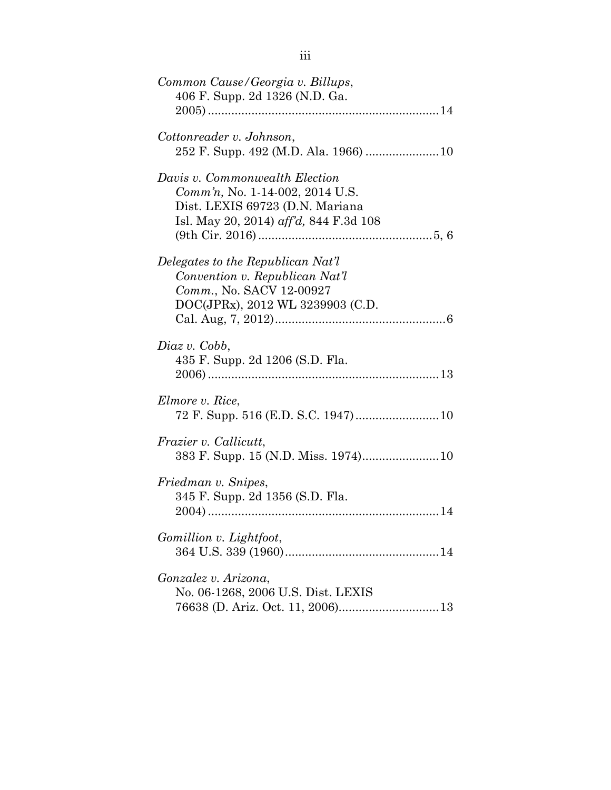| Common Cause/Georgia v. Billups,<br>406 F. Supp. 2d 1326 (N.D. Ga.                                                                             |
|------------------------------------------------------------------------------------------------------------------------------------------------|
|                                                                                                                                                |
| Cottonreader v. Johnson,                                                                                                                       |
| Davis v. Commonwealth Election<br>Comm'n, No. 1-14-002, 2014 U.S.<br>Dist. LEXIS 69723 (D.N. Mariana<br>Isl. May 20, 2014) aff'd, 844 F.3d 108 |
| Delegates to the Republican Nat'l<br>Convention v. Republican Nat'l<br>Comm., No. SACV 12-00927<br>DOC(JPRx), 2012 WL 3239903 (C.D.            |
| Diaz v. Cobb,<br>435 F. Supp. 2d 1206 (S.D. Fla.                                                                                               |
| Elmore v. Rice,                                                                                                                                |
| <i>Frazier v. Callicutt,</i>                                                                                                                   |
| Friedman v. Snipes,<br>345 F. Supp. 2d 1356 (S.D. Fla.                                                                                         |
| Gomillion v. Lightfoot,                                                                                                                        |
| Gonzalez v. Arizona,<br>No. 06-1268, 2006 U.S. Dist. LEXIS                                                                                     |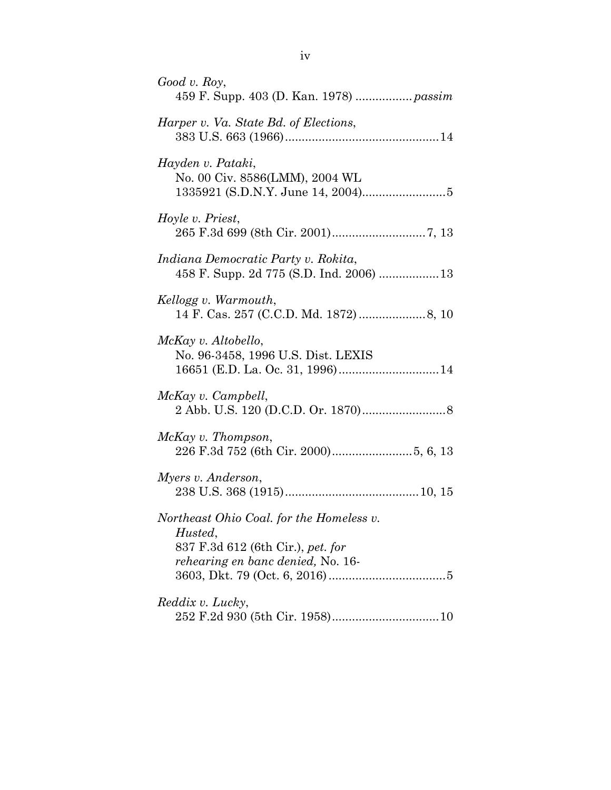| $Good$ v. Roy,                                                                                                                |
|-------------------------------------------------------------------------------------------------------------------------------|
| Harper v. Va. State Bd. of Elections,                                                                                         |
| Hayden v. Pataki,<br>No. 00 Civ. 8586(LMM), 2004 WL                                                                           |
| Hoyle v. Priest,                                                                                                              |
| Indiana Democratic Party v. Rokita,<br>458 F. Supp. 2d 775 (S.D. Ind. 2006)  13                                               |
| Kellogg v. Warmouth,                                                                                                          |
| McKay v. Altobello,<br>No. 96-3458, 1996 U.S. Dist. LEXIS                                                                     |
| McKay v. Campbell,                                                                                                            |
| McKay v. Thompson,                                                                                                            |
| Myers v. Anderson,                                                                                                            |
| Northeast Ohio Coal. for the Homeless v.<br>Husted,<br>837 F.3d 612 (6th Cir.), pet. for<br>rehearing en banc denied, No. 16- |
| Reddix v. Lucky,                                                                                                              |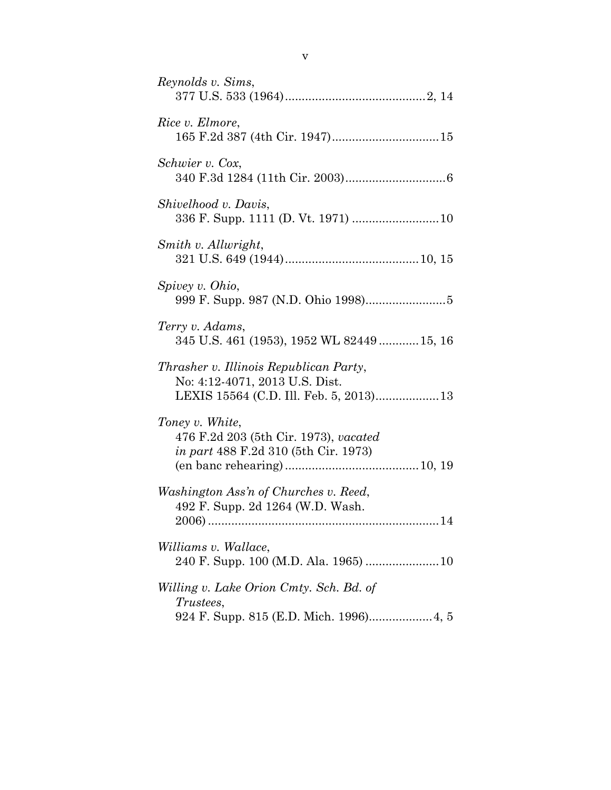| Reynolds v. Sims,                                                                                      |
|--------------------------------------------------------------------------------------------------------|
| Rice v. Elmore,                                                                                        |
| Schwier v. Cox,                                                                                        |
| Shivelhood v. Davis,                                                                                   |
| Smith v. Allwright,                                                                                    |
| Spivey v. Ohio,                                                                                        |
| Terry v. Adams,<br>345 U.S. 461 (1953), 1952 WL 82449 15, 16                                           |
| Thrasher v. Illinois Republican Party,<br>No: 4:12-4071, 2013 U.S. Dist.                               |
| Toney v. White,<br>476 F.2d 203 (5th Cir. 1973), vacated<br>in part 488 F.2d 310 (5th Cir. 1973)       |
| Washington Ass'n of Churches v. Reed,<br>492 F. Supp. 2d 1264 (W.D. Wash.<br>$2006$ ).<br>14           |
| <i>Williams v. Wallace,</i>                                                                            |
| Willing v. Lake Orion Cmty. Sch. Bd. of<br><i>Trustees,</i><br>924 F. Supp. 815 (E.D. Mich. 1996) 4, 5 |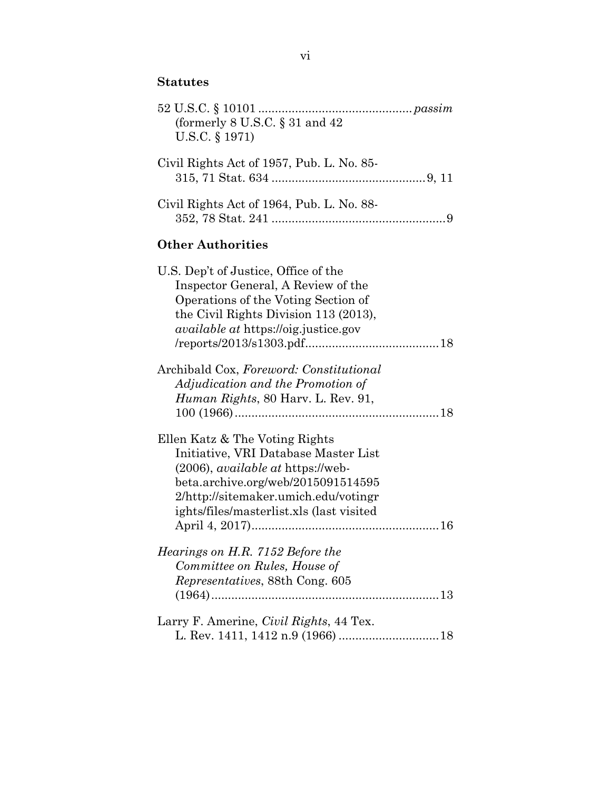# **Statutes**

| (formerly $8$ U.S.C. $\S 31$ and $42$<br>U.S.C. § 1971)                                                                                                                                                                                      |
|----------------------------------------------------------------------------------------------------------------------------------------------------------------------------------------------------------------------------------------------|
| Civil Rights Act of 1957, Pub. L. No. 85-                                                                                                                                                                                                    |
| Civil Rights Act of 1964, Pub. L. No. 88-                                                                                                                                                                                                    |
| <b>Other Authorities</b>                                                                                                                                                                                                                     |
| U.S. Dep't of Justice, Office of the<br>Inspector General, A Review of the<br>Operations of the Voting Section of<br>the Civil Rights Division 113 (2013),<br><i>available at https://oig.justice.gov</i>                                    |
| Archibald Cox, Foreword: Constitutional<br>Adjudication and the Promotion of<br><i>Human Rights, 80 Harv. L. Rev. 91,</i>                                                                                                                    |
| Ellen Katz & The Voting Rights<br>Initiative, VRI Database Master List<br>(2006), <i>available at</i> https://web-<br>beta.archive.org/web/2015091514595<br>2/http://sitemaker.umich.edu/votingr<br>ights/files/masterlist.xls (last visited |
| Hearings on H.R. 7152 Before the<br>Committee on Rules, House of<br>Representatives, 88th Cong. 605                                                                                                                                          |
| Larry F. Amerine, <i>Civil Rights</i> , 44 Tex.                                                                                                                                                                                              |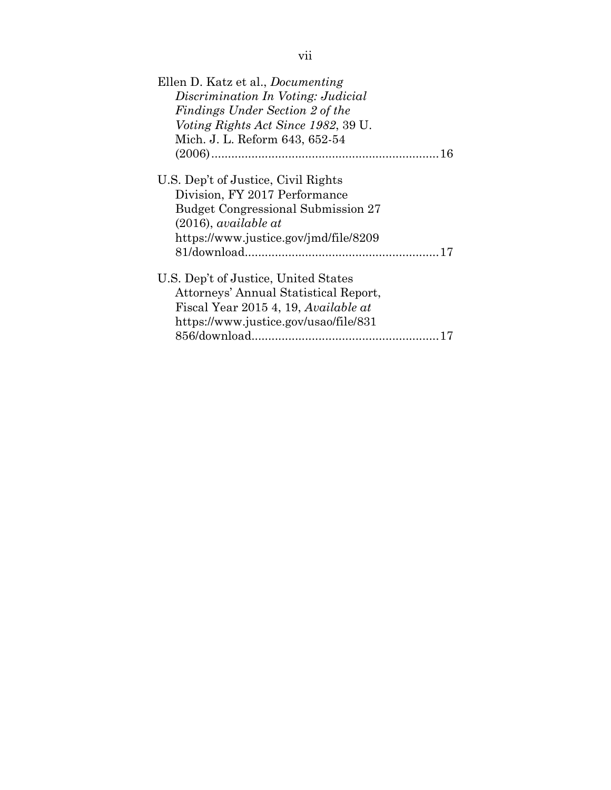| Ellen D. Katz et al., <i>Documenting</i>  |
|-------------------------------------------|
| Discrimination In Voting: Judicial        |
| Findings Under Section 2 of the           |
| Voting Rights Act Since 1982, 39 U.       |
| Mich. J. L. Reform 643, 652-54            |
|                                           |
| U.S. Dep't of Justice, Civil Rights       |
| Division, FY 2017 Performance             |
| <b>Budget Congressional Submission 27</b> |
| $(2016)$ , available at                   |
| https://www.justice.gov/jmd/file/8209     |
|                                           |
| U.S. Dep't of Justice, United States      |
| Attorneys' Annual Statistical Report,     |
| Fiscal Year 2015 4, 19, Available at      |
| https://www.justice.gov/usao/file/831     |
|                                           |
|                                           |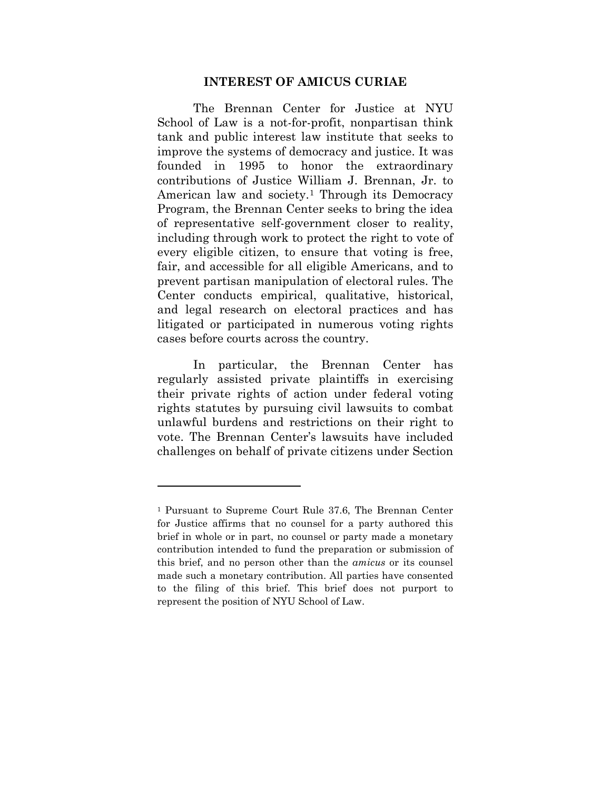#### **INTEREST OF AMICUS CURIAE**

<span id="page-8-0"></span>The Brennan Center for Justice at NYU School of Law is a not-for-profit, nonpartisan think tank and public interest law institute that seeks to improve the systems of democracy and justice. It was founded in 1995 to honor the extraordinary contributions of Justice William J. Brennan, Jr. to American law and society.<sup>[1](#page-8-1)</sup> Through its Democracy Program, the Brennan Center seeks to bring the idea of representative self-government closer to reality, including through work to protect the right to vote of every eligible citizen, to ensure that voting is free, fair, and accessible for all eligible Americans, and to prevent partisan manipulation of electoral rules. The Center conducts empirical, qualitative, historical, and legal research on electoral practices and has litigated or participated in numerous voting rights cases before courts across the country.

In particular, the Brennan Center has regularly assisted private plaintiffs in exercising their private rights of action under federal voting rights statutes by pursuing civil lawsuits to combat unlawful burdens and restrictions on their right to vote. The Brennan Center's lawsuits have included challenges on behalf of private citizens under Section

l

<span id="page-8-1"></span><sup>1</sup> Pursuant to Supreme Court Rule 37.6, The Brennan Center for Justice affirms that no counsel for a party authored this brief in whole or in part, no counsel or party made a monetary contribution intended to fund the preparation or submission of this brief, and no person other than the *amicus* or its counsel made such a monetary contribution. All parties have consented to the filing of this brief. This brief does not purport to represent the position of NYU School of Law.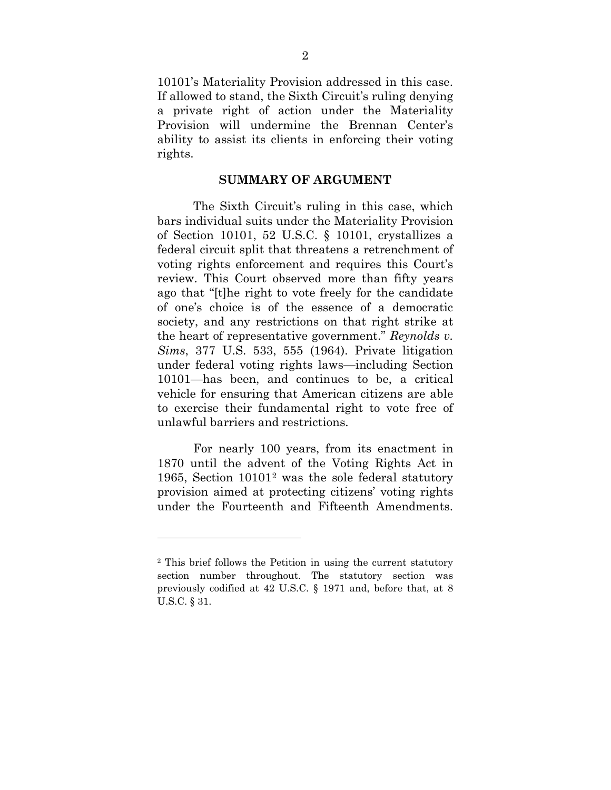10101's Materiality Provision addressed in this case. If allowed to stand, the Sixth Circuit's ruling denying a private right of action under the Materiality Provision will undermine the Brennan Center's ability to assist its clients in enforcing their voting rights.

#### <span id="page-9-1"></span>**SUMMARY OF ARGUMENT**

<span id="page-9-2"></span><span id="page-9-0"></span>The Sixth Circuit's ruling in this case, which bars individual suits under the Materiality Provision of Section 10101, 52 U.S.C. § 10101, crystallizes a federal circuit split that threatens a retrenchment of voting rights enforcement and requires this Court's review. This Court observed more than fifty years ago that "[t]he right to vote freely for the candidate of one's choice is of the essence of a democratic society, and any restrictions on that right strike at the heart of representative government." *Reynolds v. Sims*, 377 U.S. 533, 555 (1964). Private litigation under federal voting rights laws—including Section 10101—has been, and continues to be, a critical vehicle for ensuring that American citizens are able to exercise their fundamental right to vote free of unlawful barriers and restrictions.

For nearly 100 years, from its enactment in 1870 until the advent of the Voting Rights Act in 1965, Section 10101[2](#page-9-3) was the sole federal statutory provision aimed at protecting citizens' voting rights under the Fourteenth and Fifteenth Amendments.

<span id="page-9-3"></span><sup>2</sup> This brief follows the Petition in using the current statutory section number throughout. The statutory section was previously codified at 42 U.S.C. § 1971 and, before that, at 8 U.S.C. § 31.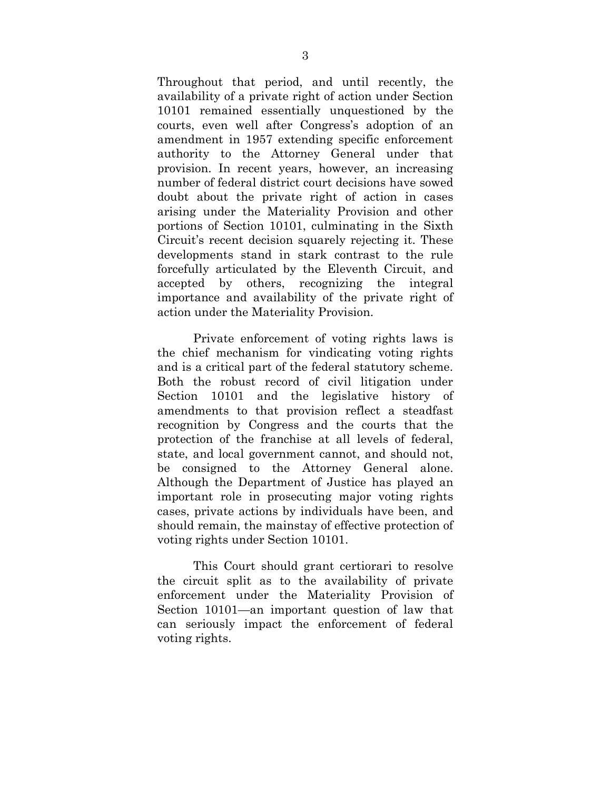Throughout that period, and until recently, the availability of a private right of action under Section 10101 remained essentially unquestioned by the courts, even well after Congress's adoption of an amendment in 1957 extending specific enforcement authority to the Attorney General under that provision. In recent years, however, an increasing number of federal district court decisions have sowed doubt about the private right of action in cases arising under the Materiality Provision and other portions of Section 10101, culminating in the Sixth Circuit's recent decision squarely rejecting it. These developments stand in stark contrast to the rule forcefully articulated by the Eleventh Circuit, and accepted by others, recognizing the integral importance and availability of the private right of action under the Materiality Provision.

Private enforcement of voting rights laws is the chief mechanism for vindicating voting rights and is a critical part of the federal statutory scheme. Both the robust record of civil litigation under Section 10101 and the legislative history of amendments to that provision reflect a steadfast recognition by Congress and the courts that the protection of the franchise at all levels of federal, state, and local government cannot, and should not, be consigned to the Attorney General alone. Although the Department of Justice has played an important role in prosecuting major voting rights cases, private actions by individuals have been, and should remain, the mainstay of effective protection of voting rights under Section 10101.

This Court should grant certiorari to resolve the circuit split as to the availability of private enforcement under the Materiality Provision of Section 10101—an important question of law that can seriously impact the enforcement of federal voting rights.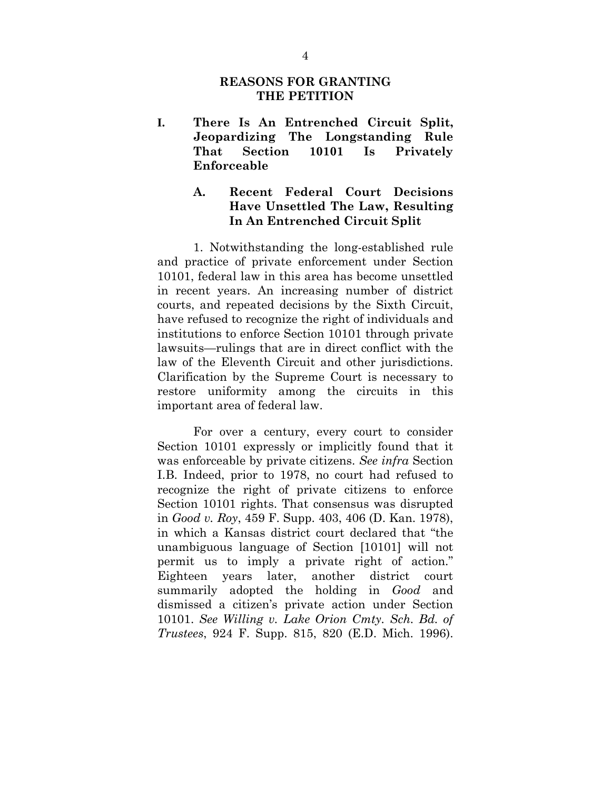### **REASONS FOR GRANTING THE PETITION**

<span id="page-11-1"></span><span id="page-11-0"></span>**I. There Is An Entrenched Circuit Split, Jeopardizing The Longstanding Rule That Section 10101 Is Privately Enforceable**

## <span id="page-11-2"></span>**A. Recent Federal Court Decisions Have Unsettled The Law, Resulting In An Entrenched Circuit Split**

1. Notwithstanding the long-established rule and practice of private enforcement under Section 10101, federal law in this area has become unsettled in recent years. An increasing number of district courts, and repeated decisions by the Sixth Circuit, have refused to recognize the right of individuals and institutions to enforce Section 10101 through private lawsuits—rulings that are in direct conflict with the law of the Eleventh Circuit and other jurisdictions. Clarification by the Supreme Court is necessary to restore uniformity among the circuits in this important area of federal law.

<span id="page-11-4"></span><span id="page-11-3"></span>For over a century, every court to consider Section 10101 expressly or implicitly found that it was enforceable by private citizens. *See infra* Section I[.B.](#page-14-0) Indeed, prior to 1978, no court had refused to recognize the right of private citizens to enforce Section 10101 rights. That consensus was disrupted in *Good v. Roy*, 459 F. Supp. 403, 406 (D. Kan. 1978), in which a Kansas district court declared that "the unambiguous language of Section [10101] will not permit us to imply a private right of action." Eighteen years later, another district court summarily adopted the holding in *Good* and dismissed a citizen's private action under Section 10101. *See Willing v. Lake Orion Cmty. Sch. Bd. of Trustees*, 924 F. Supp. 815, 820 (E.D. Mich. 1996).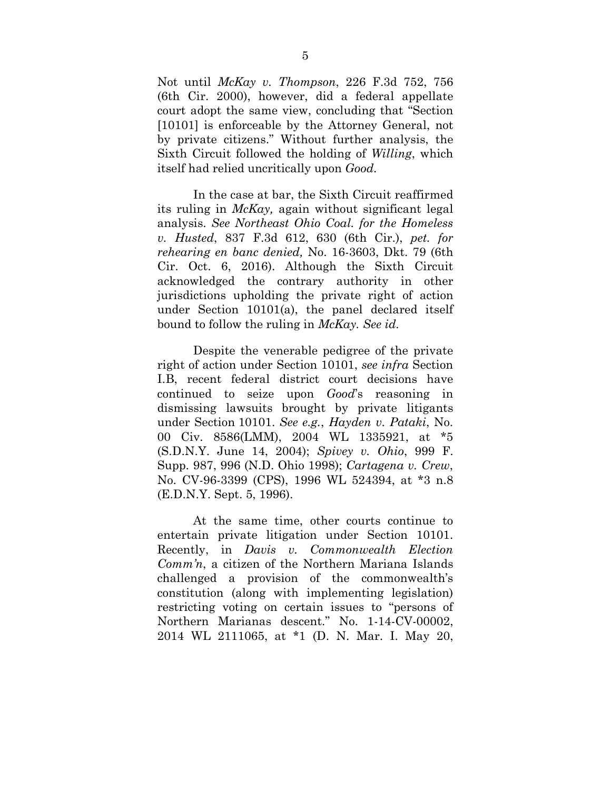Not until *McKay v. Thompson*, 226 F.3d 752, 756 (6th Cir. 2000), however, did a federal appellate court adopt the same view, concluding that "Section [10101] is enforceable by the Attorney General, not by private citizens." Without further analysis, the Sixth Circuit followed the holding of *Willing*, which itself had relied uncritically upon *Good.*

<span id="page-12-4"></span><span id="page-12-3"></span><span id="page-12-2"></span>In the case at bar, the Sixth Circuit reaffirmed its ruling in *McKay,* again without significant legal analysis. *See Northeast Ohio Coal. for the Homeless v. Husted*, 837 F.3d 612, 630 (6th Cir.), *pet. for rehearing en banc denied,* No. 16-3603, Dkt. 79 (6th Cir. Oct. 6, 2016). Although the Sixth Circuit acknowledged the contrary authority in other jurisdictions upholding the private right of action under Section 10101(a), the panel declared itself bound to follow the ruling in *McKay. See id.*

Despite the venerable pedigree of the private right of action under Section 10101, *see infra* Section I[.B,](#page-14-0) recent federal district court decisions have continued to seize upon *Good*'s reasoning in dismissing lawsuits brought by private litigants under Section 10101. *See e.g.*, *Hayden v. Pataki*, No. 00 Civ. 8586(LMM), 2004 WL 1335921, at \*5 (S.D.N.Y. June 14, 2004); *Spivey v. Ohio*, 999 F. Supp. 987, 996 (N.D. Ohio 1998); *Cartagena v. Crew*, No. CV-96-3399 (CPS), 1996 WL 524394, at \*3 n.8 (E.D.N.Y. Sept. 5, 1996).

<span id="page-12-1"></span><span id="page-12-0"></span>At the same time, other courts continue to entertain private litigation under Section 10101. Recently, in *Davis v. Commonwealth Election Comm'n*, a citizen of the Northern Mariana Islands challenged a provision of the commonwealth's constitution (along with implementing legislation) restricting voting on certain issues to "persons of Northern Marianas descent." No. 1-14-CV-00002, 2014 WL 2111065, at \*1 (D. N. Mar. I. May 20,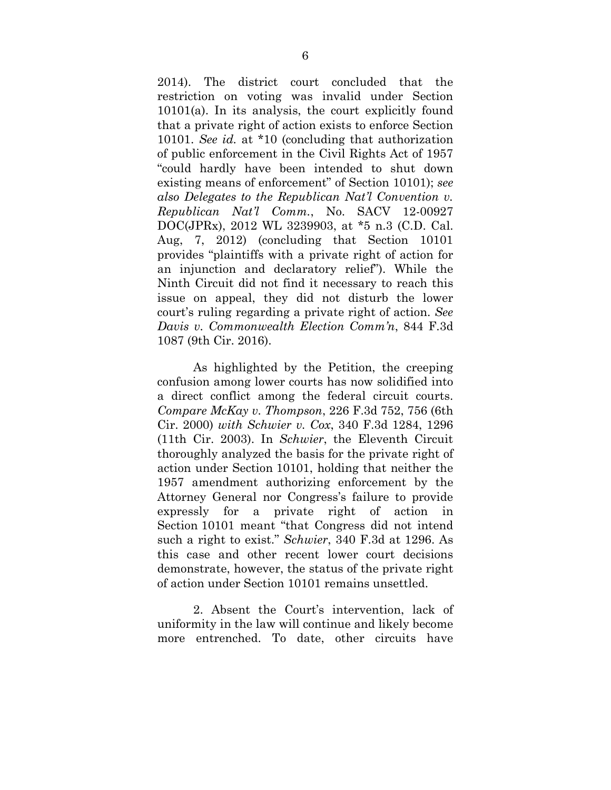<span id="page-13-1"></span>2014). The district court concluded that the restriction on voting was invalid under Section 10101(a). In its analysis, the court explicitly found that a private right of action exists to enforce Section 10101. *See id.* at \*10 (concluding that authorization of public enforcement in the Civil Rights Act of 1957 "could hardly have been intended to shut down existing means of enforcement" of Section 10101); *see also Delegates to the Republican Nat'l Convention v. Republican Nat'l Comm.*, No. SACV 12-00927 DOC(JPRx), 2012 WL 3239903, at \*5 n.3 (C.D. Cal. Aug, 7, 2012) (concluding that Section 10101 provides "plaintiffs with a private right of action for an injunction and declaratory relief"). While the Ninth Circuit did not find it necessary to reach this issue on appeal, they did not disturb the lower court's ruling regarding a private right of action. *See Davis v. Commonwealth Election Comm'n*, 844 F.3d 1087 (9th Cir. 2016).

<span id="page-13-3"></span><span id="page-13-2"></span><span id="page-13-0"></span>As highlighted by the Petition, the creeping confusion among lower courts has now solidified into a direct conflict among the federal circuit courts. *Compare McKay v. Thompson*, 226 F.3d 752, 756 (6th Cir. 2000) *with Schwier v. Cox*, 340 F.3d 1284, 1296 (11th Cir. 2003). In *Schwier*, the Eleventh Circuit thoroughly analyzed the basis for the private right of action under Section 10101, holding that neither the 1957 amendment authorizing enforcement by the Attorney General nor Congress's failure to provide expressly for a private right of action in Section 10101 meant "that Congress did not intend such a right to exist." *Schwier*, 340 F.3d at 1296. As this case and other recent lower court decisions demonstrate, however, the status of the private right of action under Section 10101 remains unsettled.

2. Absent the Court's intervention, lack of uniformity in the law will continue and likely become more entrenched. To date, other circuits have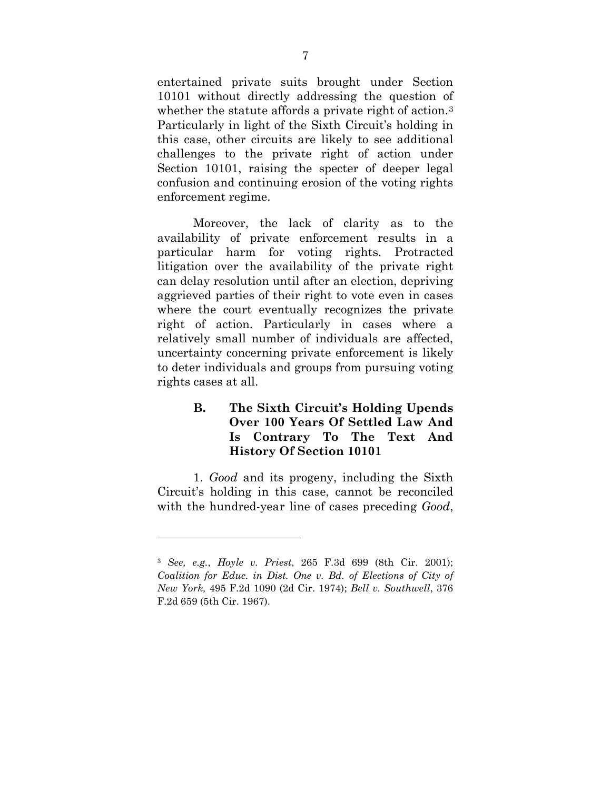entertained private suits brought under Section 10101 without directly addressing the question of whether the statute affords a private right of action.<sup>[3](#page-14-4)</sup> Particularly in light of the Sixth Circuit's holding in this case, other circuits are likely to see additional challenges to the private right of action under Section 10101, raising the specter of deeper legal confusion and continuing erosion of the voting rights enforcement regime.

Moreover, the lack of clarity as to the availability of private enforcement results in a particular harm for voting rights. Protracted litigation over the availability of the private right can delay resolution until after an election, depriving aggrieved parties of their right to vote even in cases where the court eventually recognizes the private right of action. Particularly in cases where a relatively small number of individuals are affected, uncertainty concerning private enforcement is likely to deter individuals and groups from pursuing voting rights cases at all.

## <span id="page-14-0"></span>**B. The Sixth Circuit's Holding Upends Over 100 Years Of Settled Law And Is Contrary To The Text And History Of Section 10101**

1. *Good* and its progeny, including the Sixth Circuit's holding in this case, cannot be reconciled with the hundred-year line of cases preceding *Good*,

<span id="page-14-4"></span><span id="page-14-3"></span><span id="page-14-2"></span><span id="page-14-1"></span><sup>3</sup> *See, e.g.*, *Hoyle v. Priest*, 265 F.3d 699 (8th Cir. 2001); *Coalition for Educ. in Dist. One v. Bd. of Elections of City of New York,* 495 F.2d 1090 (2d Cir. 1974); *Bell v. Southwell*, 376 F.2d 659 (5th Cir. 1967).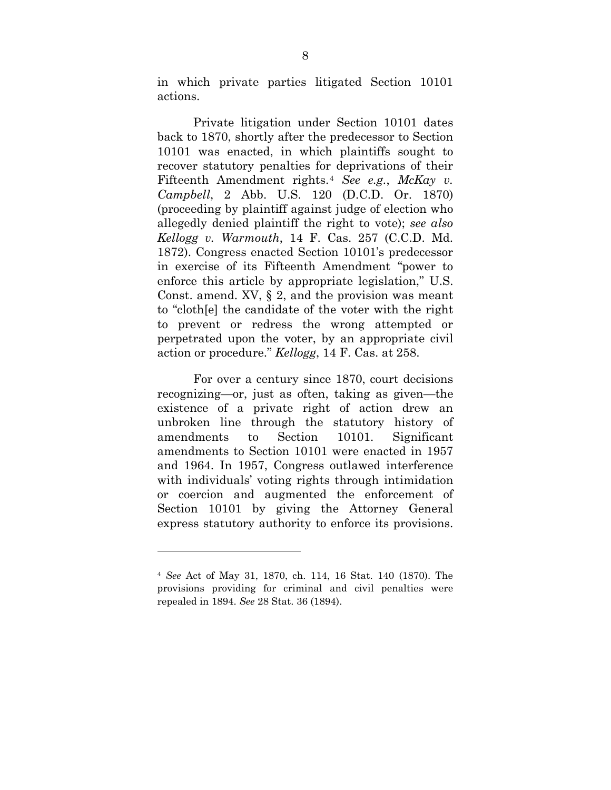in which private parties litigated Section 10101 actions.

<span id="page-15-1"></span><span id="page-15-0"></span>Private litigation under Section 10101 dates back to 1870, shortly after the predecessor to Section 10101 was enacted, in which plaintiffs sought to recover statutory penalties for deprivations of their Fifteenth Amendment rights.[4](#page-15-2) *See e.g.*, *McKay v. Campbell*, 2 Abb. U.S. 120 (D.C.D. Or. 1870) (proceeding by plaintiff against judge of election who allegedly denied plaintiff the right to vote); *see also Kellogg v. Warmouth*, 14 F. Cas. 257 (C.C.D. Md. 1872). Congress enacted Section 10101's predecessor in exercise of its Fifteenth Amendment "power to enforce this article by appropriate legislation," U.S. Const. amend. XV, § 2, and the provision was meant to "cloth[e] the candidate of the voter with the right to prevent or redress the wrong attempted or perpetrated upon the voter, by an appropriate civil action or procedure." *Kellogg*, 14 F. Cas. at 258.

For over a century since 1870, court decisions recognizing—or, just as often, taking as given—the existence of a private right of action drew an unbroken line through the statutory history of amendments to Section 10101. Significant amendments to Section 10101 were enacted in 1957 and 1964. In 1957, Congress outlawed interference with individuals' voting rights through intimidation or coercion and augmented the enforcement of Section 10101 by giving the Attorney General express statutory authority to enforce its provisions.

<span id="page-15-2"></span><sup>4</sup> *See* Act of May 31, 1870, ch. 114, 16 Stat. 140 (1870). The provisions providing for criminal and civil penalties were repealed in 1894. *See* 28 Stat. 36 (1894).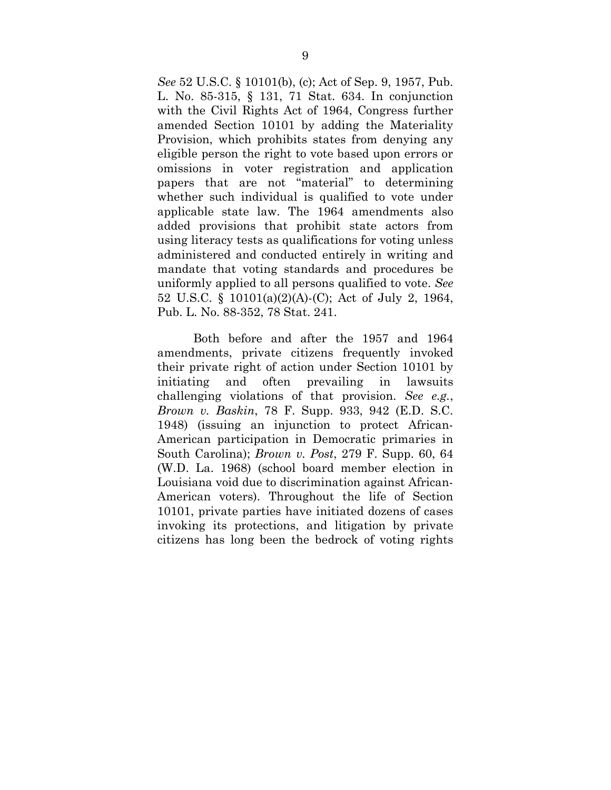*See* 52 U.S.C. § 10101(b), (c); Act of Sep. 9, 1957, Pub. L. No. 85-315, § 131, 71 Stat. 634. In conjunction with the Civil Rights Act of 1964, Congress further amended Section 10101 by adding the Materiality Provision, which prohibits states from denying any eligible person the right to vote based upon errors or omissions in voter registration and application papers that are not "material" to determining whether such individual is qualified to vote under applicable state law. The 1964 amendments also added provisions that prohibit state actors from using literacy tests as qualifications for voting unless administered and conducted entirely in writing and mandate that voting standards and procedures be uniformly applied to all persons qualified to vote. *See*  52 U.S.C. § 10101(a)(2)(A)-(C); Act of July 2, 1964, Pub. L. No. 88-352, 78 Stat. 241.

<span id="page-16-1"></span><span id="page-16-0"></span>Both before and after the 1957 and 1964 amendments, private citizens frequently invoked their private right of action under Section 10101 by initiating and often prevailing in lawsuits challenging violations of that provision. *See e.g.*, *Brown v. Baskin*, 78 F. Supp. 933, 942 (E.D. S.C. 1948) (issuing an injunction to protect African-American participation in Democratic primaries in South Carolina); *Brown v. Post*, 279 F. Supp. 60, 64 (W.D. La. 1968) (school board member election in Louisiana void due to discrimination against African-American voters). Throughout the life of Section 10101, private parties have initiated dozens of cases invoking its protections, and litigation by private citizens has long been the bedrock of voting rights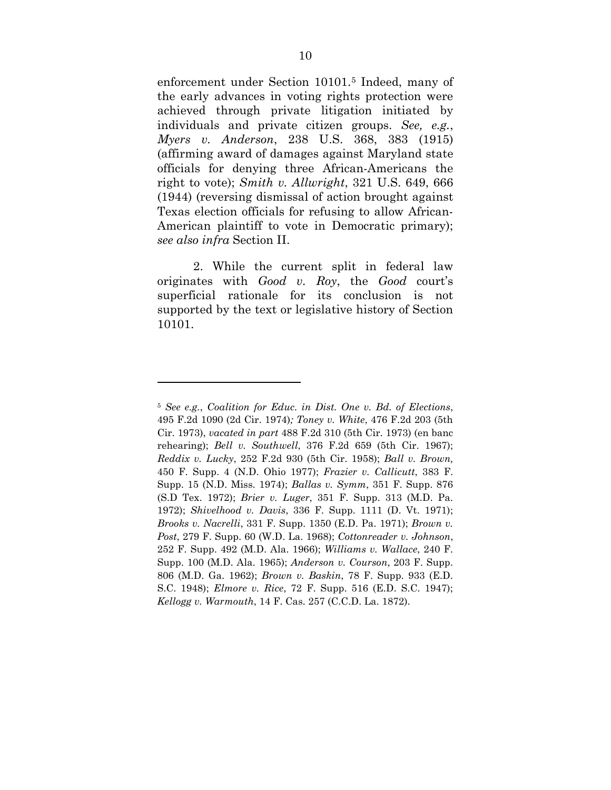<span id="page-17-12"></span>enforcement under Section 10101.[5](#page-17-18) Indeed, many of the early advances in voting rights protection were achieved through private litigation initiated by individuals and private citizen groups. *See, e.g.*, *Myers v. Anderson*, 238 U.S. 368, 383 (1915) (affirming award of damages against Maryland state officials for denying three African-Americans the right to vote); *Smith v. Allwright*, 321 U.S. 649, 666 (1944) (reversing dismissal of action brought against Texas election officials for refusing to allow African-American plaintiff to vote in Democratic primary); *see also infra* Section II.

<span id="page-17-15"></span>2. While the current split in federal law originates with *Good v. Roy*, the *Good* court's superficial rationale for its conclusion is not supported by the text or legislative history of Section 10101.

<span id="page-17-18"></span><span id="page-17-17"></span><span id="page-17-16"></span><span id="page-17-14"></span><span id="page-17-13"></span><span id="page-17-11"></span><span id="page-17-10"></span><span id="page-17-9"></span><span id="page-17-8"></span><span id="page-17-7"></span><span id="page-17-6"></span><span id="page-17-5"></span><span id="page-17-4"></span><span id="page-17-3"></span><span id="page-17-2"></span><span id="page-17-1"></span><span id="page-17-0"></span><sup>5</sup> *See e.g.*, *Coalition for Educ. in Dist. One v. Bd. of Elections*, 495 F.2d 1090 (2d Cir. 1974)*; Toney v. White*, 476 F.2d 203 (5th Cir. 1973), *vacated in part* 488 F.2d 310 (5th Cir. 1973) (en banc rehearing); *Bell v. Southwell*, 376 F.2d 659 (5th Cir. 1967); *Reddix v. Lucky*, 252 F.2d 930 (5th Cir. 1958); *Ball v. Brown,* 450 F. Supp. 4 (N.D. Ohio 1977); *Frazier v. Callicutt*, 383 F. Supp. 15 (N.D. Miss. 1974); *Ballas v. Symm*, 351 F. Supp. 876 (S.D Tex. 1972); *Brier v. Luger*, 351 F. Supp. 313 (M.D. Pa. 1972); *Shivelhood v. Davis*, 336 F. Supp. 1111 (D. Vt. 1971); *Brooks v. Nacrelli*, 331 F. Supp. 1350 (E.D. Pa. 1971); *Brown v. Post*, 279 F. Supp. 60 (W.D. La. 1968); *Cottonreader v. Johnson*, 252 F. Supp. 492 (M.D. Ala. 1966); *Williams v. Wallace*, 240 F. Supp. 100 (M.D. Ala. 1965); *Anderson v. Courson*, 203 F. Supp. 806 (M.D. Ga. 1962); *Brown v. Baskin*, 78 F. Supp. 933 (E.D. S.C. 1948); *Elmore v. Rice*, 72 F. Supp. 516 (E.D. S.C. 1947); *Kellogg v. Warmouth*, 14 F. Cas. 257 (C.C.D. La. 1872).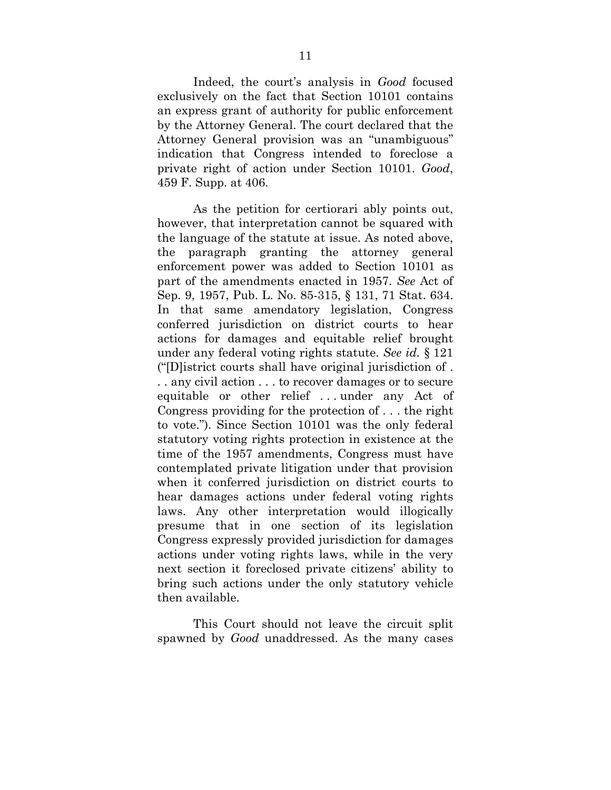Indeed, the court's analysis in *Good* focused exclusively on the fact that Section 10101 contains an express grant of authority for public enforcement by the Attorney General. The court declared that the Attorney General provision was an "unambiguous" indication that Congress intended to foreclose a private right of action under Section 10101. *Good*, 459 F. Supp. at 406.

<span id="page-18-0"></span>As the petition for certiorari ably points out, however, that interpretation cannot be squared with the language of the statute at issue. As noted above, the paragraph granting the attorney general enforcement power was added to Section 10101 as part of the amendments enacted in 1957. *See* Act of Sep. 9, 1957, Pub. L. No. 85-315, § 131, 71 Stat. 634. In that same amendatory legislation, Congress conferred jurisdiction on district courts to hear actions for damages and equitable relief brought under any federal voting rights statute. *See id.* § 121 ("[D]istrict courts shall have original jurisdiction of . . . any civil action . . . to recover damages or to secure equitable or other relief . . . under any Act of Congress providing for the protection of . . . the right to vote."). Since Section 10101 was the only federal statutory voting rights protection in existence at the time of the 1957 amendments, Congress must have contemplated private litigation under that provision when it conferred jurisdiction on district courts to hear damages actions under federal voting rights laws. Any other interpretation would illogically presume that in one section of its legislation Congress expressly provided jurisdiction for damages actions under voting rights laws, while in the very next section it foreclosed private citizens' ability to bring such actions under the only statutory vehicle then available.

This Court should not leave the circuit split spawned by *Good* unaddressed. As the many cases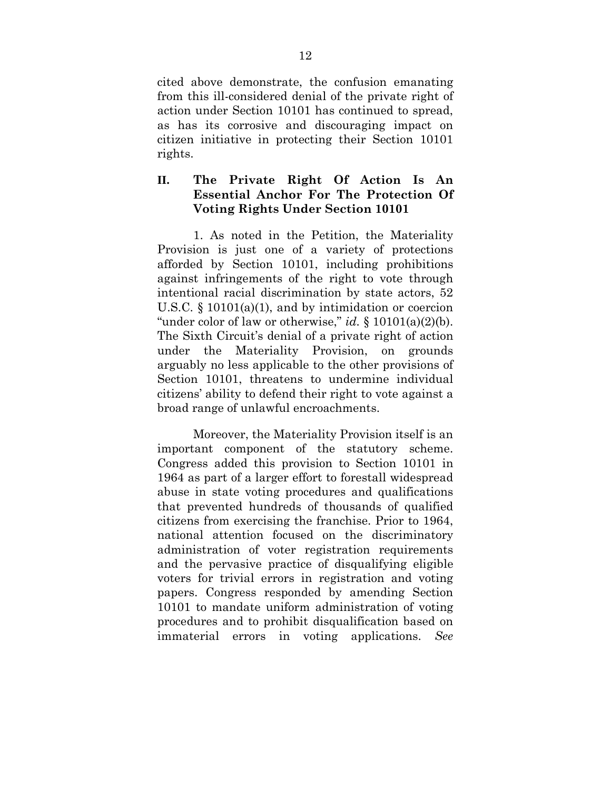cited above demonstrate, the confusion emanating from this ill-considered denial of the private right of action under Section 10101 has continued to spread, as has its corrosive and discouraging impact on citizen initiative in protecting their Section 10101 rights.

## <span id="page-19-0"></span>**II. The Private Right Of Action Is An Essential Anchor For The Protection Of Voting Rights Under Section 10101**

1. As noted in the Petition, the Materiality Provision is just one of a variety of protections afforded by Section 10101, including prohibitions against infringements of the right to vote through intentional racial discrimination by state actors, 52 U.S.C. § 10101(a)(1), and by intimidation or coercion "under color of law or otherwise," *id.* § 10101(a)(2)(b). The Sixth Circuit's denial of a private right of action under the Materiality Provision, on grounds arguably no less applicable to the other provisions of Section 10101, threatens to undermine individual citizens' ability to defend their right to vote against a broad range of unlawful encroachments.

Moreover, the Materiality Provision itself is an important component of the statutory scheme. Congress added this provision to Section 10101 in 1964 as part of a larger effort to forestall widespread abuse in state voting procedures and qualifications that prevented hundreds of thousands of qualified citizens from exercising the franchise. Prior to 1964, national attention focused on the discriminatory administration of voter registration requirements and the pervasive practice of disqualifying eligible voters for trivial errors in registration and voting papers. Congress responded by amending Section 10101 to mandate uniform administration of voting procedures and to prohibit disqualification based on immaterial errors in voting applications. *See*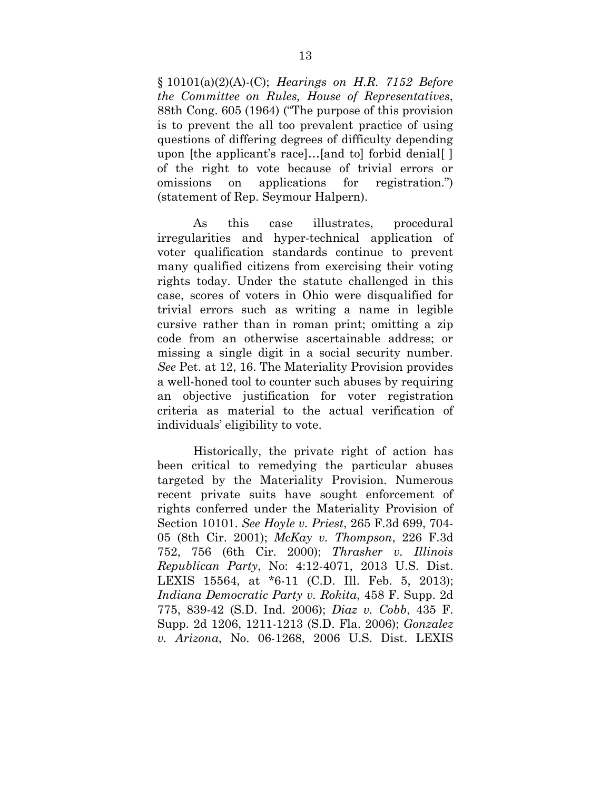§ 10101(a)(2)(A)-(C); *Hearings on H.R. 7152 Before the Committee on Rules, House of Representatives*, 88th Cong. 605 (1964) ("The purpose of this provision is to prevent the all too prevalent practice of using questions of differing degrees of difficulty depending upon [the applicant's race]…[and to] forbid denial[ ] of the right to vote because of trivial errors or omissions on applications for registration.") (statement of Rep. Seymour Halpern).

As this case illustrates, procedural irregularities and hyper-technical application of voter qualification standards continue to prevent many qualified citizens from exercising their voting rights today. Under the statute challenged in this case, scores of voters in Ohio were disqualified for trivial errors such as writing a name in legible cursive rather than in roman print; omitting a zip code from an otherwise ascertainable address; or missing a single digit in a social security number. *See* Pet. at 12, 16. The Materiality Provision provides a well-honed tool to counter such abuses by requiring an objective justification for voter registration criteria as material to the actual verification of individuals' eligibility to vote.

<span id="page-20-5"></span><span id="page-20-4"></span><span id="page-20-3"></span><span id="page-20-2"></span><span id="page-20-1"></span><span id="page-20-0"></span>Historically, the private right of action has been critical to remedying the particular abuses targeted by the Materiality Provision. Numerous recent private suits have sought enforcement of rights conferred under the Materiality Provision of Section 10101. *See Hoyle v. Priest*, 265 F.3d 699, 704- 05 (8th Cir. 2001); *McKay v. Thompson*, 226 F.3d 752, 756 (6th Cir. 2000); *Thrasher v. Illinois Republican Party*, No: 4:12-4071, 2013 U.S. Dist. LEXIS 15564, at \*6-11 (C.D. Ill. Feb. 5, 2013); *Indiana Democratic Party v. Rokita*, 458 F. Supp. 2d 775, 839-42 (S.D. Ind. 2006); *Diaz v. Cobb*, 435 F. Supp. 2d 1206, 1211-1213 (S.D. Fla. 2006); *Gonzalez v. Arizona*, No. 06-1268, 2006 U.S. Dist. LEXIS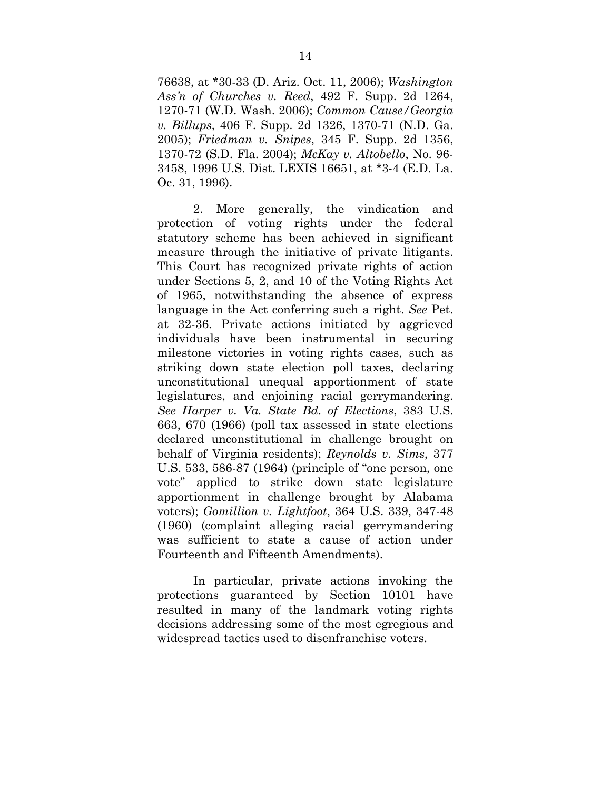<span id="page-21-6"></span><span id="page-21-1"></span><span id="page-21-0"></span>76638, at \*30-33 (D. Ariz. Oct. 11, 2006); *Washington Ass'n of Churches v. Reed*, 492 F. Supp. 2d 1264, 1270-71 (W.D. Wash. 2006); *Common Cause/Georgia v. Billups*, 406 F. Supp. 2d 1326, 1370-71 (N.D. Ga. 2005); *Friedman v. Snipes*, 345 F. Supp. 2d 1356, 1370-72 (S.D. Fla. 2004); *McKay v. Altobello*, No. 96- 3458, 1996 U.S. Dist. LEXIS 16651, at \*3-4 (E.D. La. Oc. 31, 1996).

<span id="page-21-4"></span>2. More generally, the vindication and protection of voting rights under the federal statutory scheme has been achieved in significant measure through the initiative of private litigants. This Court has recognized private rights of action under Sections 5, 2, and 10 of the Voting Rights Act of 1965, notwithstanding the absence of express language in the Act conferring such a right. *See* Pet. at 32-36. Private actions initiated by aggrieved individuals have been instrumental in securing milestone victories in voting rights cases, such as striking down state election poll taxes, declaring unconstitutional unequal apportionment of state legislatures, and enjoining racial gerrymandering. *See Harper v. Va. State Bd. of Elections*, 383 U.S. 663, 670 (1966) (poll tax assessed in state elections declared unconstitutional in challenge brought on behalf of Virginia residents); *Reynolds v. Sims*, 377 U.S. 533, 586-87 (1964) (principle of "one person, one vote" applied to strike down state legislature apportionment in challenge brought by Alabama voters); *Gomillion v. Lightfoot*, 364 U.S. 339, 347-48 (1960) (complaint alleging racial gerrymandering was sufficient to state a cause of action under Fourteenth and Fifteenth Amendments).

<span id="page-21-5"></span><span id="page-21-3"></span><span id="page-21-2"></span>In particular, private actions invoking the protections guaranteed by Section 10101 have resulted in many of the landmark voting rights decisions addressing some of the most egregious and widespread tactics used to disenfranchise voters.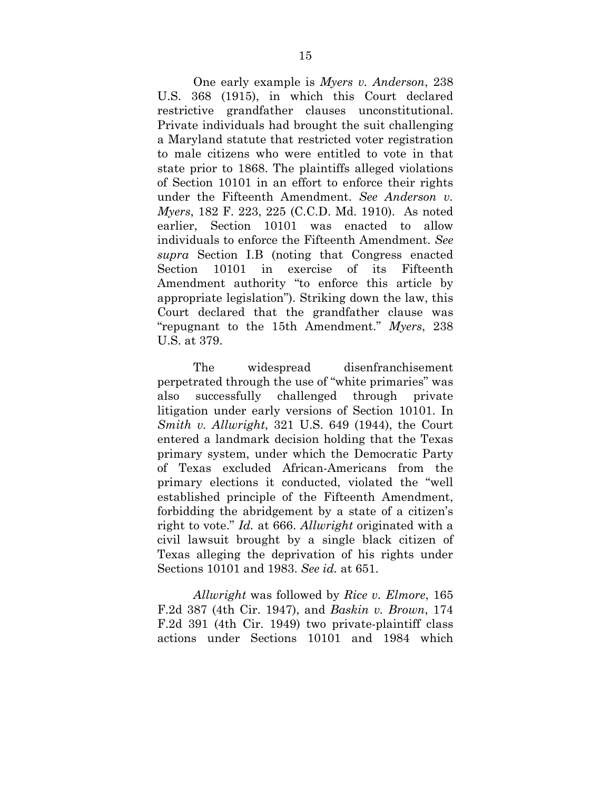<span id="page-22-1"></span><span id="page-22-0"></span>One early example is *Myers v. Anderson*, 238 U.S. 368 (1915), in which this Court declared restrictive grandfather clauses unconstitutional. Private individuals had brought the suit challenging a Maryland statute that restricted voter registration to male citizens who were entitled to vote in that state prior to 1868. The plaintiffs alleged violations of Section 10101 in an effort to enforce their rights under the Fifteenth Amendment. *See Anderson v. Myers*, 182 F. 223, 225 (C.C.D. Md. 1910). As noted earlier, Section 10101 was enacted to allow individuals to enforce the Fifteenth Amendment. *See supra* Section [I.B](#page-14-0) (noting that Congress enacted Section 10101 in exercise of its Fifteenth Amendment authority "to enforce this article by appropriate legislation"). Striking down the law, this Court declared that the grandfather clause was "repugnant to the 15th Amendment." *Myers*, 238 U.S. at 379.

The widespread disenfranchisement perpetrated through the use of "white primaries" was also successfully challenged through private litigation under early versions of Section 10101. In *Smith v. Allwright*, 321 U.S. 649 (1944), the Court entered a landmark decision holding that the Texas primary system, under which the Democratic Party of Texas excluded African-Americans from the primary elections it conducted, violated the "well established principle of the Fifteenth Amendment, forbidding the abridgement by a state of a citizen's right to vote." *Id.* at 666. *Allwright* originated with a civil lawsuit brought by a single black citizen of Texas alleging the deprivation of his rights under Sections 10101 and 1983. *See id.* at 651.

<span id="page-22-2"></span>*Allwright* was followed by *Rice v. Elmore*, 165 F.2d 387 (4th Cir. 1947), and *Baskin v. Brown*, 174 F.2d 391 (4th Cir. 1949) two private-plaintiff class actions under Sections 10101 and 1984 which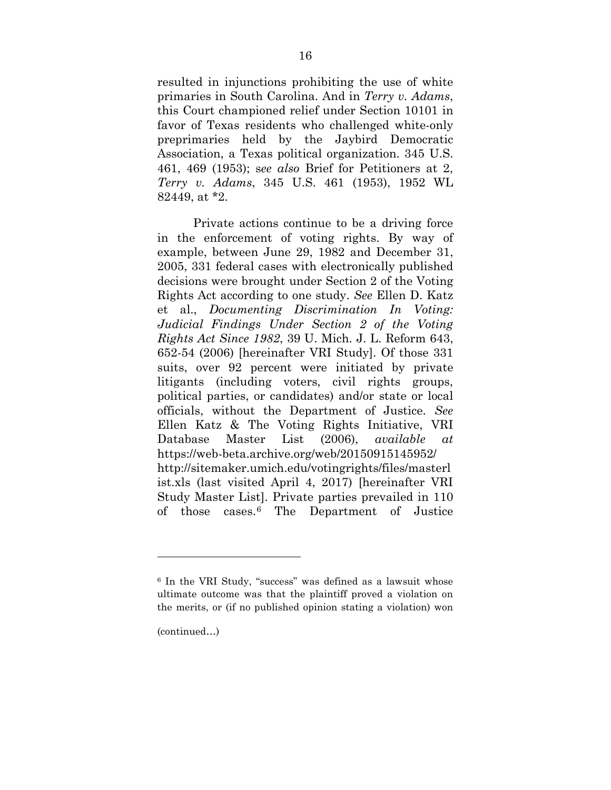resulted in injunctions prohibiting the use of white primaries in South Carolina. And in *Terry v. Adams*, this Court championed relief under Section 10101 in favor of Texas residents who challenged white-only preprimaries held by the Jaybird Democratic Association, a Texas political organization. 345 U.S. 461, 469 (1953); s*ee also* Brief for Petitioners at 2, *Terry v. Adams*, 345 U.S. 461 (1953), 1952 WL 82449, at \*2.

<span id="page-23-0"></span>Private actions continue to be a driving force in the enforcement of voting rights. By way of example, between June 29, 1982 and December 31, 2005, 331 federal cases with electronically published decisions were brought under Section 2 of the Voting Rights Act according to one study. *See* Ellen D. Katz et al., *Documenting Discrimination In Voting: Judicial Findings Under Section 2 of the Voting Rights Act Since 1982*, 39 U. Mich. J. L. Reform 643, 652-54 (2006) [hereinafter VRI Study]. Of those 331 suits, over 92 percent were initiated by private litigants (including voters, civil rights groups, political parties, or candidates) and/or state or local officials, without the Department of Justice. *See* Ellen Katz & The Voting Rights Initiative, VRI Database Master List (2006), *available at* https://web-beta.archive.org/web/20150915145952/ http://sitemaker.umich.edu/votingrights/files/masterl ist.xls (last visited April 4, 2017) [hereinafter VRI Study Master List]. Private parties prevailed in 110 of those cases.[6](#page-23-1) The Department of Justice

(continued…)

<span id="page-23-1"></span><sup>6</sup> In the VRI Study, "success" was defined as a lawsuit whose ultimate outcome was that the plaintiff proved a violation on the merits, or (if no published opinion stating a violation) won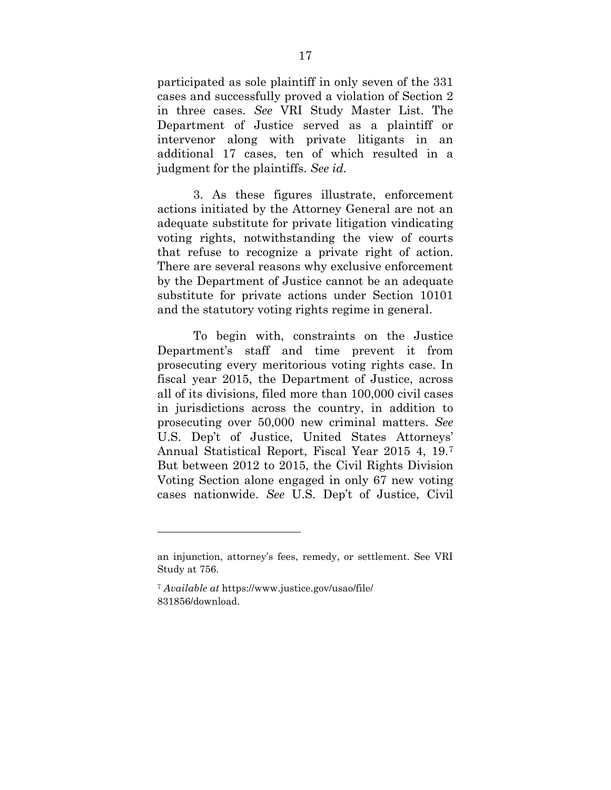participated as sole plaintiff in only seven of the 331 cases and successfully proved a violation of Section 2 in three cases. *See* VRI Study Master List. The Department of Justice served as a plaintiff or intervenor along with private litigants in an additional 17 cases, ten of which resulted in a judgment for the plaintiffs. *See id.*

3. As these figures illustrate, enforcement actions initiated by the Attorney General are not an adequate substitute for private litigation vindicating voting rights, notwithstanding the view of courts that refuse to recognize a private right of action. There are several reasons why exclusive enforcement by the Department of Justice cannot be an adequate substitute for private actions under Section 10101 and the statutory voting rights regime in general.

To begin with, constraints on the Justice Department's staff and time prevent it from prosecuting every meritorious voting rights case. In fiscal year 2015, the Department of Justice, across all of its divisions, filed more than 100,000 civil cases in jurisdictions across the country, in addition to prosecuting over 50,000 new criminal matters. *See*  U.S. Dep't of Justice, United States Attorneys' Annual Statistical Report, Fiscal Year 2015 4, 19.[7](#page-24-0) But between 2012 to 2015, the Civil Rights Division Voting Section alone engaged in only 67 new voting cases nationwide. *See* U.S. Dep't of Justice, Civil

an injunction, attorney's fees, remedy, or settlement. See VRI Study at 756.

<span id="page-24-0"></span><sup>7</sup> *Available at* https://www.justice.gov/usao/file/ 831856/download.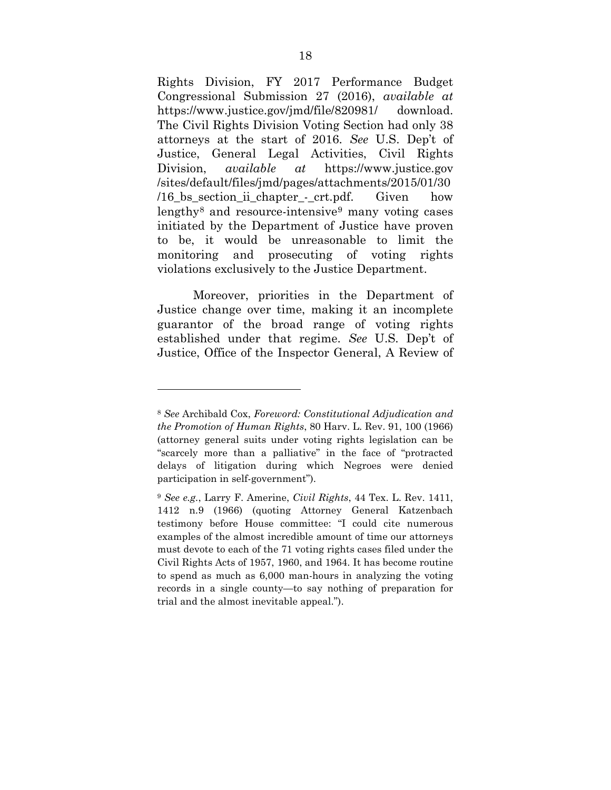Rights Division, FY 2017 Performance Budget Congressional Submission 27 (2016), *available at* https://www.justice.gov/jmd/file/820981/ download. The Civil Rights Division Voting Section had only 38 attorneys at the start of 2016. *See* U.S. Dep't of Justice, General Legal Activities, Civil Rights Division, *available at* https://www.justice.gov /sites/default/files/jmd/pages/attachments/2015/01/30 /16\_bs\_section\_ii\_chapter\_-\_crt.pdf. Given how lengthy[8](#page-25-0) and resource-intensive[9](#page-25-1) many voting cases initiated by the Department of Justice have proven to be, it would be unreasonable to limit the monitoring and prosecuting of voting rights violations exclusively to the Justice Department.

Moreover, priorities in the Department of Justice change over time, making it an incomplete guarantor of the broad range of voting rights established under that regime. *See* U.S. Dep't of Justice, Office of the Inspector General, A Review of

<span id="page-25-0"></span><sup>8</sup> *See* Archibald Cox, *Foreword: Constitutional Adjudication and the Promotion of Human Rights*, 80 Harv. L. Rev. 91, 100 (1966) (attorney general suits under voting rights legislation can be "scarcely more than a palliative" in the face of "protracted delays of litigation during which Negroes were denied participation in self-government").

<span id="page-25-1"></span><sup>9</sup> *See e.g.*, Larry F. Amerine, *Civil Rights*, 44 Tex. L. Rev. 1411, 1412 n.9 (1966) (quoting Attorney General Katzenbach testimony before House committee: "I could cite numerous examples of the almost incredible amount of time our attorneys must devote to each of the 71 voting rights cases filed under the Civil Rights Acts of 1957, 1960, and 1964. It has become routine to spend as much as 6,000 man-hours in analyzing the voting records in a single county—to say nothing of preparation for trial and the almost inevitable appeal.").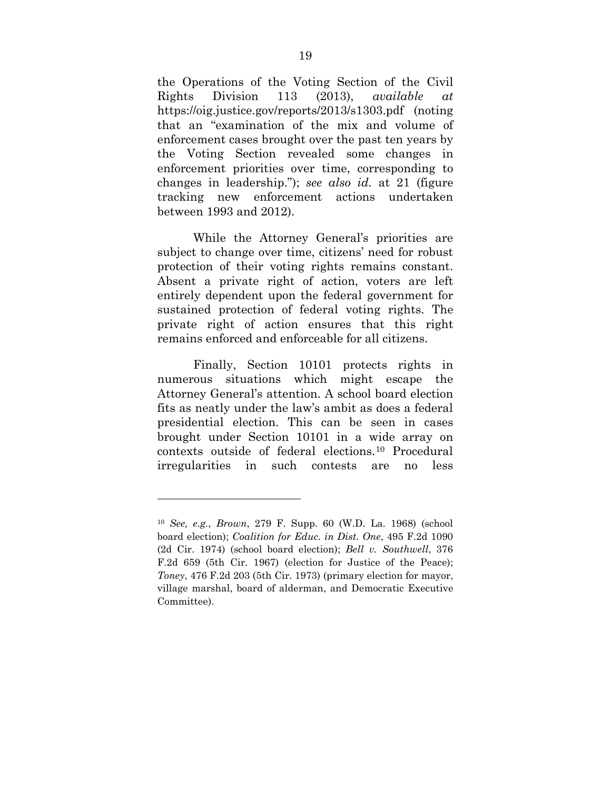the Operations of the Voting Section of the Civil Rights Division 113 (2013), *available at*  https://oig.justice.gov/reports/2013/s1303.pdf (noting that an "examination of the mix and volume of enforcement cases brought over the past ten years by the Voting Section revealed some changes in enforcement priorities over time, corresponding to changes in leadership."); *see also id.* at 21 (figure tracking new enforcement actions undertaken between 1993 and 2012).

While the Attorney General's priorities are subject to change over time, citizens' need for robust protection of their voting rights remains constant. Absent a private right of action, voters are left entirely dependent upon the federal government for sustained protection of federal voting rights. The private right of action ensures that this right remains enforced and enforceable for all citizens.

Finally, Section 10101 protects rights in numerous situations which might escape the Attorney General's attention. A school board election fits as neatly under the law's ambit as does a federal presidential election. This can be seen in cases brought under Section 10101 in a wide array on contexts outside of federal elections.[10](#page-26-2) Procedural irregularities in such contests are no less

<span id="page-26-2"></span><span id="page-26-1"></span><span id="page-26-0"></span><sup>10</sup> *See, e.g.*, *Brown*, 279 F. Supp. 60 (W.D. La. 1968) (school board election); *Coalition for Educ. in Dist. One*, 495 F.2d 1090 (2d Cir. 1974) (school board election); *Bell v. Southwell*, 376 F.2d 659 (5th Cir. 1967) (election for Justice of the Peace); *Toney*, 476 F.2d 203 (5th Cir. 1973) (primary election for mayor, village marshal, board of alderman, and Democratic Executive Committee).